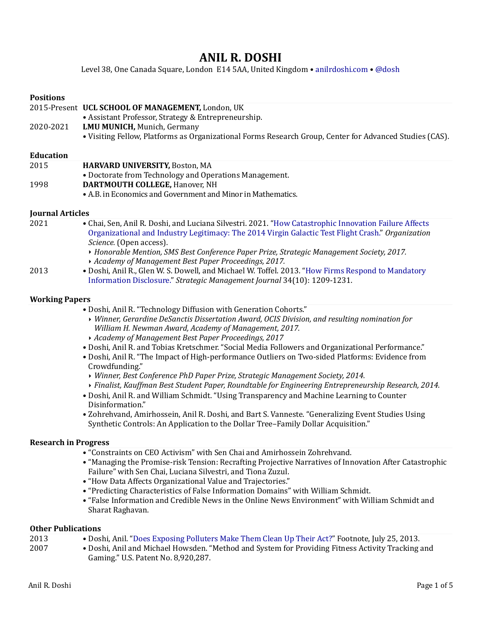# **ANIL R. DOSHI**

Level 38, One Canada Square, London E14 5AA, United Kingdom • anilrdoshi.com • [@dosh](http://www.twitter.com/dosh)

| <b>Positions</b>            |                                                                                                                                                                                                                                       |
|-----------------------------|---------------------------------------------------------------------------------------------------------------------------------------------------------------------------------------------------------------------------------------|
|                             | 2015-Present UCL SCHOOL OF MANAGEMENT, London, UK                                                                                                                                                                                     |
| 2020-2021                   | • Assistant Professor, Strategy & Entrepreneurship.<br>LMU MUNICH, Munich, Germany                                                                                                                                                    |
|                             | . Visiting Fellow, Platforms as Organizational Forms Research Group, Center for Advanced Studies (CAS).                                                                                                                               |
|                             |                                                                                                                                                                                                                                       |
| <b>Education</b>            |                                                                                                                                                                                                                                       |
| 2015                        | HARVARD UNIVERSITY, Boston, MA<br>• Doctorate from Technology and Operations Management.                                                                                                                                              |
| 1998                        | DARTMOUTH COLLEGE, Hanover, NH                                                                                                                                                                                                        |
|                             | • A.B. in Economics and Government and Minor in Mathematics.                                                                                                                                                                          |
| <b>Journal Articles</b>     |                                                                                                                                                                                                                                       |
| 2021                        | • Chai, Sen, Anil R. Doshi, and Luciana Silvestri. 2021. "How Catastrophic Innovation Failure Affects<br>Organizational and Industry Legitimacy: The 2014 Virgin Galactic Test Flight Crash." Organization<br>Science. (Open access). |
|                             | > Honorable Mention, SMS Best Conference Paper Prize, Strategic Management Society, 2017.<br>Academy of Management Best Paper Proceedings, 2017.                                                                                      |
| 2013                        | · Doshi, Anil R., Glen W. S. Dowell, and Michael W. Toffel. 2013. "How Firms Respond to Mandatory<br>Information Disclosure." Strategic Management Journal 34(10): 1209-1231.                                                         |
| <b>Working Papers</b>       |                                                                                                                                                                                                                                       |
|                             | · Doshi, Anil R. "Technology Diffusion with Generation Cohorts."                                                                                                                                                                      |
|                             | Vinner, Gerardine DeSanctis Dissertation Award, OCIS Division, and resulting nomination for<br>William H. Newman Award, Academy of Management, 2017.                                                                                  |
|                             | Academy of Management Best Paper Proceedings, 2017<br>· Doshi, Anil R. and Tobias Kretschmer. "Social Media Followers and Organizational Performance."                                                                                |
|                             | . Doshi, Anil R. "The Impact of High-performance Outliers on Two-sided Platforms: Evidence from<br>Crowdfunding."                                                                                                                     |
|                             | • Winner, Best Conference PhD Paper Prize, Strategic Management Society, 2014.                                                                                                                                                        |
|                             | > Finalist, Kauffman Best Student Paper, Roundtable for Engineering Entrepreneurship Research, 2014.<br>. Doshi, Anil R. and William Schmidt. "Using Transparency and Machine Learning to Counter                                     |
|                             | Disinformation."                                                                                                                                                                                                                      |
|                             | • Zohrehvand, Amirhossein, Anil R. Doshi, and Bart S. Vanneste. "Generalizing Event Studies Using                                                                                                                                     |
|                             | Synthetic Controls: An Application to the Dollar Tree-Family Dollar Acquisition."                                                                                                                                                     |
| <b>Research in Progress</b> |                                                                                                                                                                                                                                       |
|                             | • "Constraints on CEO Activism" with Sen Chai and Amirhossein Zohrehvand.                                                                                                                                                             |
|                             | • "Managing the Promise-risk Tension: Recrafting Projective Narratives of Innovation After Catastrophic<br>Failure" with Sen Chai, Luciana Silvestri, and Tiona Zuzul.<br>• "How Data Affects Organizational Value and Trajectories." |
|                             | • "Predicting Characteristics of False Information Domains" with William Schmidt.                                                                                                                                                     |
|                             | • "False Information and Credible News in the Online News Environment" with William Schmidt and<br>Sharat Raghavan.                                                                                                                   |
|                             |                                                                                                                                                                                                                                       |

#### **Other Publications**<br>2013 • Dosl • Doshi, Anil. "Does Exposing Polluters Make Them Clean Up Their Act?" Footnote, July 25, 2013. 2007 • Doshi, Anil and Michael Howsden. "Method and System for Providing Fitness Activity Tracking and Gaming." U.S. Patent No. 8,920,287.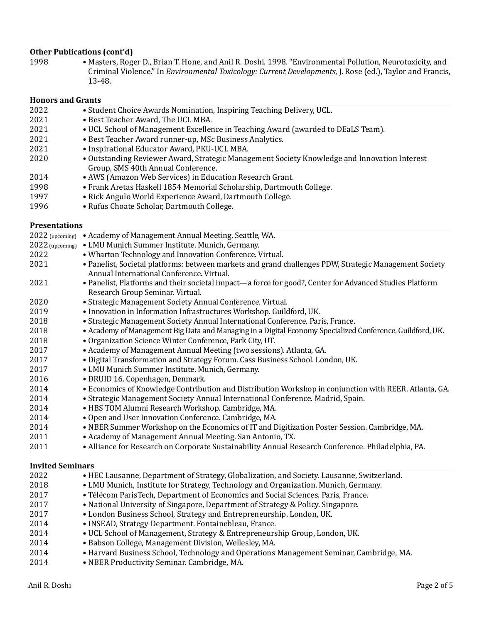### **Other Publications (cont'd)**

1998 • Masters, Roger D., Brian T. Hone, and Anil R. Doshi. 1998. "Environmental Pollution, Neurotoxicity, and Criminal Violence." In *Environmental Toxicology: Current Developments*, J. Rose (ed.), Taylor and Francis, 13-48.

#### **Honors and Grants**

| <b>Honors and Grants</b> |                                                                                                                                             |
|--------------------------|---------------------------------------------------------------------------------------------------------------------------------------------|
| 2022                     | • Student Choice Awards Nomination, Inspiring Teaching Delivery, UCL.                                                                       |
| 2021                     | • Best Teacher Award, The UCL MBA.                                                                                                          |
| 2021                     | • UCL School of Management Excellence in Teaching Award (awarded to DEaLS Team).                                                            |
| 2021                     | · Best Teacher Award runner-up, MSc Business Analytics.                                                                                     |
| 2021                     | · Inspirational Educator Award, PKU-UCL MBA.                                                                                                |
| 2020                     | · Outstanding Reviewer Award, Strategic Management Society Knowledge and Innovation Interest<br>Group, SMS 40th Annual Conference.          |
| 2014                     | • AWS (Amazon Web Services) in Education Research Grant.                                                                                    |
| 1998                     | • Frank Aretas Haskell 1854 Memorial Scholarship, Dartmouth College.                                                                        |
| 1997                     | • Rick Angulo World Experience Award, Dartmouth College.                                                                                    |
| 1996                     | • Rufus Choate Scholar, Dartmouth College.                                                                                                  |
| <b>Presentations</b>     |                                                                                                                                             |
|                          | 2022 (upcoming) • Academy of Management Annual Meeting. Seattle, WA.                                                                        |
| 2022 (upcoming)          | • LMU Munich Summer Institute. Munich, Germany.                                                                                             |
| 2022                     | • Wharton Technology and Innovation Conference. Virtual.                                                                                    |
| 2021                     | • Panelist, Societal platforms: between markets and grand challenges PDW, Strategic Management Society                                      |
|                          | Annual International Conference. Virtual.                                                                                                   |
| 2021                     | • Panelist, Platforms and their societal impact—a force for good?, Center for Advanced Studies Platform<br>Research Group Seminar. Virtual. |
| 2020                     | • Strategic Management Society Annual Conference. Virtual.                                                                                  |
| 2019                     | · Innovation in Information Infrastructures Workshop. Guildford, UK.                                                                        |
| 2018                     | · Strategic Management Society Annual International Conference. Paris, France.                                                              |
| 2018                     | • Academy of Management Big Data and Managing in a Digital Economy Specialized Conference. Guildford, UK.                                   |
| 2018                     | • Organization Science Winter Conference, Park City, UT.                                                                                    |
| 2017                     | • Academy of Management Annual Meeting (two sessions). Atlanta, GA.                                                                         |
| 2017                     | · Digital Transformation and Strategy Forum. Cass Business School. London, UK.                                                              |
| 2017                     | • LMU Munich Summer Institute. Munich, Germany.                                                                                             |
| 2016                     | · DRUID 16. Copenhagen, Denmark.                                                                                                            |
| 2014                     | • Economics of Knowledge Contribution and Distribution Workshop in conjunction with REER. Atlanta, GA.                                      |
| 2014                     | • Strategic Management Society Annual International Conference. Madrid, Spain.                                                              |
| 2014                     | · HBS TOM Alumni Research Workshop. Cambridge, MA.                                                                                          |
| 2014                     | • Open and User Innovation Conference. Cambridge, MA.                                                                                       |
| 2014                     | • NBER Summer Workshop on the Economics of IT and Digitization Poster Session. Cambridge, MA.                                               |
| 2011                     | • Academy of Management Annual Meeting. San Antonio, TX.                                                                                    |
| 2011                     | • Alliance for Research on Corporate Sustainability Annual Research Conference. Philadelphia, PA.                                           |
| <b>Invited Seminars</b>  |                                                                                                                                             |
| 2022                     | • HEC Lausanne, Department of Strategy, Globalization, and Society. Lausanne, Switzerland.                                                  |
| 2018                     | • LMU Munich, Institute for Strategy, Technology and Organization. Munich, Germany.                                                         |
| 2017                     | · Télécom ParisTech, Department of Economics and Social Sciences. Paris, France.                                                            |

- 2017 National University of Singapore, Department of Strategy & Policy. Singapore.
- 2017 London Business School, Strategy and Entrepreneurship. London, UK.
- 2014 INSEAD, Strategy Department. Fontainebleau, France.
- 2014 UCL School of Management, Strategy & Entrepreneurship Group, London, UK.
- 2014 Babson College, Management Division, Wellesley, MA.
- 2014 Harvard Business School, Technology and Operations Management Seminar, Cambridge, MA.
- 2014 NBER Productivity Seminar. Cambridge, MA.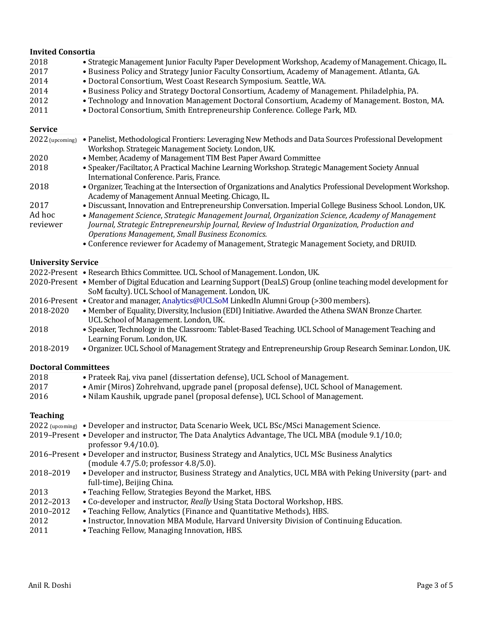| <b>Invited Consortia</b>  |                                                                                                                                                                                                                                                                               |  |
|---------------------------|-------------------------------------------------------------------------------------------------------------------------------------------------------------------------------------------------------------------------------------------------------------------------------|--|
| 2018<br>2017<br>2014      | • Strategic Management Junior Faculty Paper Development Workshop, Academy of Management. Chicago, IL.<br>. Business Policy and Strategy Junior Faculty Consortium, Academy of Management. Atlanta, GA.<br>· Doctoral Consortium, West Coast Research Symposium. Seattle, WA.  |  |
| 2014<br>2012<br>2011      | . Business Policy and Strategy Doctoral Consortium, Academy of Management. Philadelphia, PA.<br>• Technology and Innovation Management Doctoral Consortium, Academy of Management. Boston, MA.<br>· Doctoral Consortium, Smith Entrepreneurship Conference. College Park, MD. |  |
| <b>Service</b>            |                                                                                                                                                                                                                                                                               |  |
| 2022 (upcoming)           | • Panelist, Methodological Frontiers: Leveraging New Methods and Data Sources Professional Development<br>Workshop. Strategeic Management Society. London, UK.                                                                                                                |  |
| 2020                      | • Member, Academy of Management TIM Best Paper Award Committee                                                                                                                                                                                                                |  |
| 2018                      | • Speaker/Faciltator, A Practical Machine Learning Workshop. Strategic Management Society Annual<br>International Conference. Paris, France.                                                                                                                                  |  |
| 2018                      | • Organizer, Teaching at the Intersection of Organizations and Analytics Professional Development Workshop.<br>Academy of Management Annual Meeting. Chicago, IL.                                                                                                             |  |
| 2017                      | . Discussant, Innovation and Entrepreneurship Conversation. Imperial College Business School. London, UK.                                                                                                                                                                     |  |
| Ad hoc<br>reviewer        | • Management Science, Strategic Management Journal, Organization Science, Academy of Management<br>Journal, Strategic Entrepreneurship Journal, Review of Industrial Organization, Production and<br><b>Operations Management, Small Business Economics.</b>                  |  |
|                           | • Conference reviewer for Academy of Management, Strategic Management Society, and DRUID.                                                                                                                                                                                     |  |
| <b>University Service</b> |                                                                                                                                                                                                                                                                               |  |
|                           | 2022-Present • Research Ethics Committee. UCL School of Management. London, UK.                                                                                                                                                                                               |  |
|                           | 2020-Present • Member of Digital Education and Learning Support (DeaLS) Group (online teaching model development for<br>SoM faculty). UCL School of Management. London, UK.                                                                                                   |  |
|                           | 2016-Present • Creator and manager, Analytics@UCLSoM LinkedIn Alumni Group (>300 members).                                                                                                                                                                                    |  |
| 2018-2020                 | • Member of Equality, Diversity, Inclusion (EDI) Initiative. Awarded the Athena SWAN Bronze Charter.<br>UCL School of Management. London, UK.                                                                                                                                 |  |
| 2018                      | • Speaker, Technology in the Classroom: Tablet-Based Teaching. UCL School of Management Teaching and                                                                                                                                                                          |  |

- 2018 Speaker, Technology in the Classroom: Tablet-Based Teaching. UCL School of Management Teaching and Learning Forum. London, UK.
- 2018-2019 Organizer. UCL School of Management Strategy and Entrepreneurship Group Research Seminar. London, UK.

# **Doctoral Committees**

| 2018<br>2017<br>2016 | • Prateek Raj, viva panel (dissertation defense), UCL School of Management.<br>• Amir (Miros) Zohrehvand, upgrade panel (proposal defense), UCL School of Management.<br>• Nilam Kaushik, upgrade panel (proposal defense), UCL School of Management. |
|----------------------|-------------------------------------------------------------------------------------------------------------------------------------------------------------------------------------------------------------------------------------------------------|
| <b>Teaching</b>      |                                                                                                                                                                                                                                                       |
|                      | 2022 (upcoming) • Developer and instructor, Data Scenario Week, UCL BSc/MSci Management Science.                                                                                                                                                      |
|                      | 2019–Present • Developer and instructor, The Data Analytics Advantage, The UCL MBA (module 9.1/10.0;<br>professor $9.4/10.0$ ).                                                                                                                       |
|                      | 2016–Present • Developer and instructor, Business Strategy and Analytics, UCL MSc Business Analytics<br>$(module\ 4.7/5.0; professor\ 4.8/5.0).$                                                                                                      |
| 2018-2019            | • Developer and instructor, Business Strategy and Analytics, UCL MBA with Peking University (part- and<br>full-time), Beijing China.                                                                                                                  |
| 2013                 | • Teaching Fellow, Strategies Beyond the Market, HBS.                                                                                                                                                                                                 |
| 2012-2013            | • Co-developer and instructor, Really Using Stata Doctoral Workshop, HBS.                                                                                                                                                                             |
| 2010-2012            | • Teaching Fellow, Analytics (Finance and Quantitative Methods), HBS.                                                                                                                                                                                 |
| 2012                 | • Instructor, Innovation MBA Module, Harvard University Division of Continuing Education.                                                                                                                                                             |
| 2011                 | • Teaching Fellow, Managing Innovation, HBS.                                                                                                                                                                                                          |
|                      |                                                                                                                                                                                                                                                       |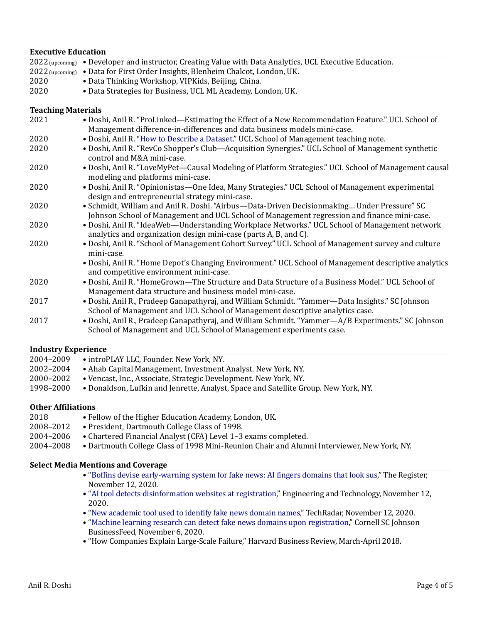#### **Executive Education**

 $2022$  (upcoming) • Developer and instructor, Creating Value with Data Analytics, UCL Executive Education. 2022 (upcoming) • Data for First Order Insights, Blenheim Chalcot, London, UK. 2020 • Data Thinking Workshop, VIPKids, Beijing, China. 2020 • Data Strategies for Business, UCL ML Academy, London, UK.

#### **Teaching Materials**

| 2021 | . Doshi, Anil R. "ProLinked—Estimating the Effect of a New Recommendation Feature." UCL School of                                                                                                                        |
|------|--------------------------------------------------------------------------------------------------------------------------------------------------------------------------------------------------------------------------|
|      | Management difference-in-differences and data business models mini-case.                                                                                                                                                 |
| 2020 | . Doshi, Anil R. "How to Describe a Dataset." UCL School of Management teaching note.                                                                                                                                    |
| 2020 | • Doshi, Anil R. "RevCo Shopper's Club—Acquisition Synergies." UCL School of Management synthetic<br>control and M&A mini-case.                                                                                          |
| 2020 | · Doshi, Anil R. "LoveMyPet-Causal Modeling of Platform Strategies." UCL School of Management causal<br>modeling and platforms mini-case.                                                                                |
| 2020 | • Doshi, Anil R. "Opinionistas—One Idea, Many Strategies." UCL School of Management experimental<br>design and entrepreneurial strategy mini-case.                                                                       |
| 2020 | · Schmidt, William and Anil R. Doshi. "Airbus-Data-Driven Decisionmaking Under Pressure" SC<br>Johnson School of Management and UCL School of Management regression and finance mini-case.                               |
| 2020 | • Doshi, Anil R. "IdeaWeb—Understanding Workplace Networks." UCL School of Management network<br>analytics and organization design mini-case (parts A, B, and C).                                                        |
| 2020 | • Doshi, Anil R. "School of Management Cohort Survey." UCL School of Management survey and culture<br>mini-case.<br>• Doshi, Anil R. "Home Depot's Changing Environment." UCL School of Management descriptive analytics |
|      | and competitive environment mini-case.                                                                                                                                                                                   |
| 2020 | • Doshi, Anil R. "HomeGrown—The Structure and Data Structure of a Business Model." UCL School of<br>Management data structure and business model mini-case.                                                              |
| 2017 | • Doshi, Anil R., Pradeep Ganapathyraj, and William Schmidt. "Yammer—Data Insights." SC Johnson<br>School of Management and UCL School of Management descriptive analytics case.                                         |
| 2017 | • Doshi, Anil R., Pradeep Ganapathyraj, and William Schmidt. "Yammer—A/B Experiments." SC Johnson<br>School of Management and UCL School of Management experiments case.                                                 |
|      | <b>Industry Experience</b>                                                                                                                                                                                               |
|      | $0.0010000 + 0.01111100 - 1.111111$                                                                                                                                                                                      |

- 2004–2009 introPLAY LLC, Founder. New York, NY.
- 2002–2004 Ahab Capital Management, Investment Analyst. New York, NY.
- 2000–2002 Vencast, Inc., Associate, Strategic Development. New York, NY.
- 1998–2000 Donaldson, Lufkin and Jenrette, Analyst, Space and Satellite Group. New York, NY.

# **Other Affiliations**

- 2018 Fellow of the Higher Education Academy, London, UK. 2008–2012 • President, Dartmouth College Class of 1998.
- 2004–2006 Chartered Financial Analyst (CFA) Level 1–3 exams completed.
- 2004–2008 Dartmouth College Class of 1998 Mini-Reunion Chair and Alumni Interviewer, New York, NY.

#### **Select Media Mentions and Coverage**

- "Boffins devise early-warning system for fake news: AI fingers domains that look sus," The Register, November 12, 2020.
- "AI tool detects disinformation websites at registration," Engineering and Technology, November 12, 2020.
- "New academic tool used to identify fake news domain names," TechRadar, November 12, 2020.
- "Machine learning research can detect fake news domains upon registration," Cornell SC Johnson BusinessFeed, November 6, 2020.
- "How Companies Explain Large-Scale Failure," Harvard Business Review, March-April 2018.